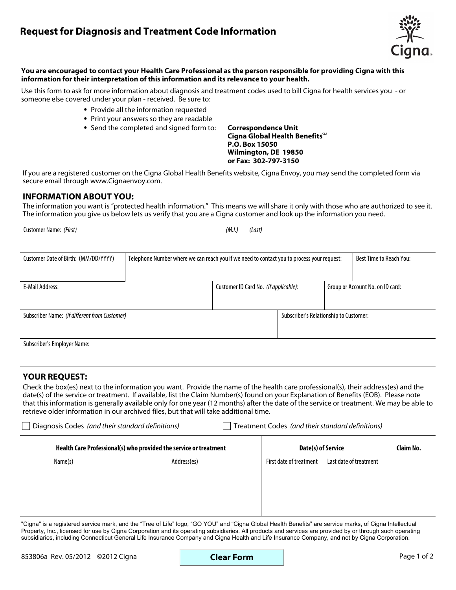# **Request for Diagnosis and Treatment Code Information**



#### **You are encouraged to contact your Health Care Professional as the person responsible for providing Cigna with this information for their interpretation of this information and its relevance to your health.**

Use this form to ask for more information about diagnosis and treatment codes used to bill Cigna for health services you - or someone else covered under your plan - received. Be sure to:

- **.**  Provide all the information requested
- **.**  Print your answers so they are readable
- Print your answers so they are readable<br>• Send the completed and signed form to:

**Correspondence Unit Cigna Global Health Benefits**SM **P.O. Box 15050 Wilmington, DE 19850 or Fax: 302-797-3150**

If you are a registered customer on the Cigna Global Health Benefits website, Cigna Envoy, you may send the completed form via secure email through www.Cignaenvoy.com.

### **INFORMATION ABOUT YOU:**

The information you want is "protected health information." This means we will share it only with those who are authorized to see it. The information you give us below lets us verify that you are a Cigna customer and look up the information you need.

| Customer Name: (First)                        |                                                                                            | (M.I.)<br>(Last)                      |                                        |                                  |  |
|-----------------------------------------------|--------------------------------------------------------------------------------------------|---------------------------------------|----------------------------------------|----------------------------------|--|
|                                               |                                                                                            |                                       |                                        |                                  |  |
| Customer Date of Birth: (MM/DD/YYYY)          | Telephone Number where we can reach you if we need to contact you to process your request: |                                       | <b>Best Time to Reach You:</b>         |                                  |  |
|                                               |                                                                                            |                                       |                                        |                                  |  |
| <b>E-Mail Address:</b>                        |                                                                                            | Customer ID Card No. (if applicable): |                                        | Group or Account No. on ID card: |  |
|                                               |                                                                                            |                                       |                                        |                                  |  |
| Subscriber Name: (if different from Customer) |                                                                                            |                                       | Subscriber's Relationship to Customer: |                                  |  |
|                                               |                                                                                            |                                       |                                        |                                  |  |
| <b>Subscriber's Employer Name:</b>            |                                                                                            |                                       |                                        |                                  |  |

### **YOUR REQUEST:**

Check the box(es) next to the information you want. Provide the name of the health care professional(s), their address(es) and the date(s) of the service or treatment. If available, list the Claim Number(s) found on your Explanation of Benefits (EOB). Please note that this information is generally available only for one year (12 months) after the date of the service or treatment. We may be able to retrieve older information in our archived files, but that will take additional time.

| Diagnosis Codes (and their standard definitions)<br>Treatment Codes (and their standard definitions) |                                                                   |                         |                        |  |  |  |  |  |
|------------------------------------------------------------------------------------------------------|-------------------------------------------------------------------|-------------------------|------------------------|--|--|--|--|--|
|                                                                                                      | Health Care Professional(s) who provided the service or treatment | Date(s) of Service      | Claim No.              |  |  |  |  |  |
| Name(s)                                                                                              | Address(es)                                                       | First date of treatment | Last date of treatment |  |  |  |  |  |
|                                                                                                      |                                                                   |                         |                        |  |  |  |  |  |
|                                                                                                      |                                                                   |                         |                        |  |  |  |  |  |
|                                                                                                      |                                                                   |                         |                        |  |  |  |  |  |
|                                                                                                      |                                                                   |                         |                        |  |  |  |  |  |

"Cigna" is a registered service mark, and the "Tree of Life" logo, "GO YOU" and "Cigna Global Health Benefits" are service marks, of Cigna Intellectual Property, Inc., licensed for use by Cigna Corporation and its operating subsidiaries. All products and services are provided by or through such operating subsidiaries, including Connecticut General Life Insurance Company and Cigna Health and Life Insurance Company, and not by Cigna Corporation.

**Clear Form**